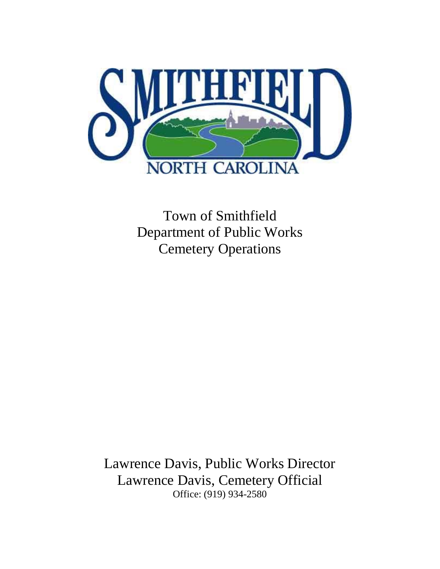

Town of Smithfield Department of Public Works Cemetery Operations

Lawrence Davis, Public Works Director Lawrence Davis, Cemetery Official Office: (919) 934-2580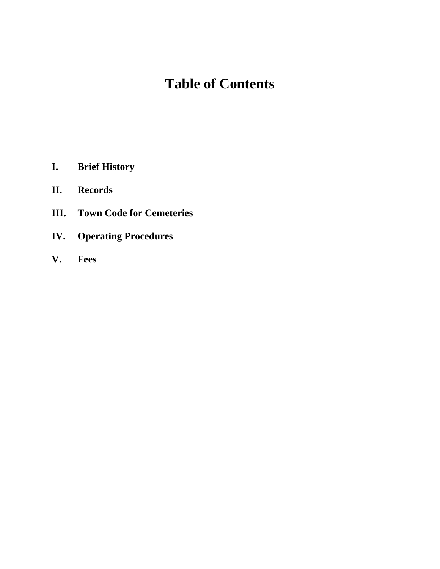# **Table of Contents**

- **I. Brief History**
- **II. Records**
- **III. Town Code for Cemeteries**
- **IV. Operating Procedures**
- **V. Fees**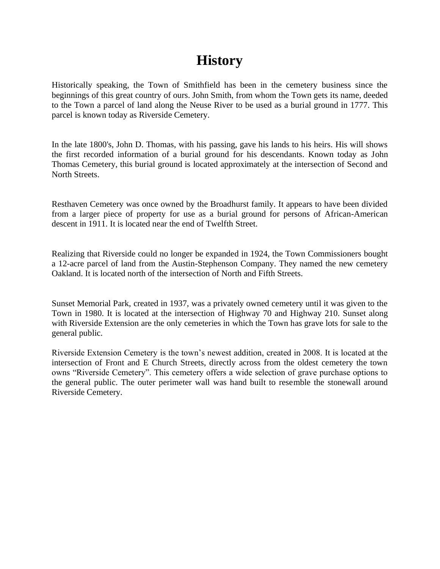### **History**

Historically speaking, the Town of Smithfield has been in the cemetery business since the beginnings of this great country of ours. John Smith, from whom the Town gets its name, deeded to the Town a parcel of land along the Neuse River to be used as a burial ground in 1777. This parcel is known today as Riverside Cemetery.

In the late 1800's, John D. Thomas, with his passing, gave his lands to his heirs. His will shows the first recorded information of a burial ground for his descendants. Known today as John Thomas Cemetery, this burial ground is located approximately at the intersection of Second and North Streets.

Resthaven Cemetery was once owned by the Broadhurst family. It appears to have been divided from a larger piece of property for use as a burial ground for persons of African-American descent in 1911. It is located near the end of Twelfth Street.

Realizing that Riverside could no longer be expanded in 1924, the Town Commissioners bought a 12-acre parcel of land from the Austin-Stephenson Company. They named the new cemetery Oakland. It is located north of the intersection of North and Fifth Streets.

Sunset Memorial Park, created in 1937, was a privately owned cemetery until it was given to the Town in 1980. It is located at the intersection of Highway 70 and Highway 210. Sunset along with Riverside Extension are the only cemeteries in which the Town has grave lots for sale to the general public.

Riverside Extension Cemetery is the town's newest addition, created in 2008. It is located at the intersection of Front and E Church Streets, directly across from the oldest cemetery the town owns "Riverside Cemetery". This cemetery offers a wide selection of grave purchase options to the general public. The outer perimeter wall was hand built to resemble the stonewall around Riverside Cemetery.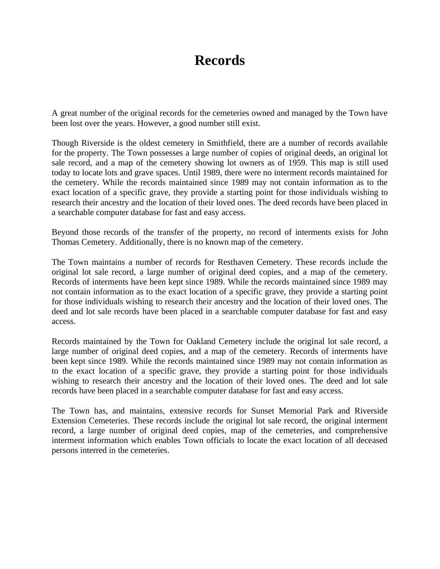### **Records**

A great number of the original records for the cemeteries owned and managed by the Town have been lost over the years. However, a good number still exist.

Though Riverside is the oldest cemetery in Smithfield, there are a number of records available for the property. The Town possesses a large number of copies of original deeds, an original lot sale record, and a map of the cemetery showing lot owners as of 1959. This map is still used today to locate lots and grave spaces. Until 1989, there were no interment records maintained for the cemetery. While the records maintained since 1989 may not contain information as to the exact location of a specific grave, they provide a starting point for those individuals wishing to research their ancestry and the location of their loved ones. The deed records have been placed in a searchable computer database for fast and easy access.

Beyond those records of the transfer of the property, no record of interments exists for John Thomas Cemetery. Additionally, there is no known map of the cemetery.

The Town maintains a number of records for Resthaven Cemetery. These records include the original lot sale record, a large number of original deed copies, and a map of the cemetery. Records of interments have been kept since 1989. While the records maintained since 1989 may not contain information as to the exact location of a specific grave, they provide a starting point for those individuals wishing to research their ancestry and the location of their loved ones. The deed and lot sale records have been placed in a searchable computer database for fast and easy access.

Records maintained by the Town for Oakland Cemetery include the original lot sale record, a large number of original deed copies, and a map of the cemetery. Records of interments have been kept since 1989. While the records maintained since 1989 may not contain information as to the exact location of a specific grave, they provide a starting point for those individuals wishing to research their ancestry and the location of their loved ones. The deed and lot sale records have been placed in a searchable computer database for fast and easy access.

The Town has, and maintains, extensive records for Sunset Memorial Park and Riverside Extension Cemeteries. These records include the original lot sale record, the original interment record, a large number of original deed copies, map of the cemeteries, and comprehensive interment information which enables Town officials to locate the exact location of all deceased persons interred in the cemeteries.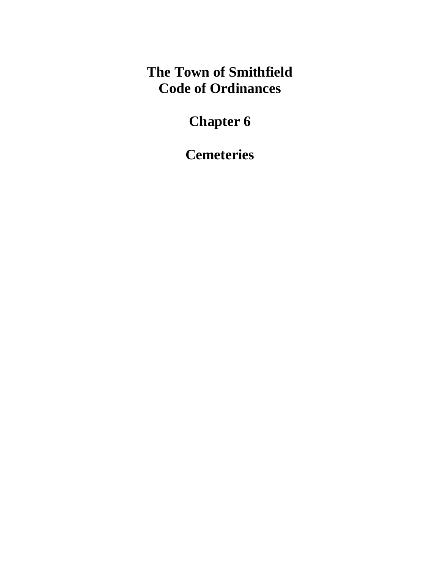# **The Town of Smithfield Code of Ordinances**

# **Chapter 6**

**Cemeteries**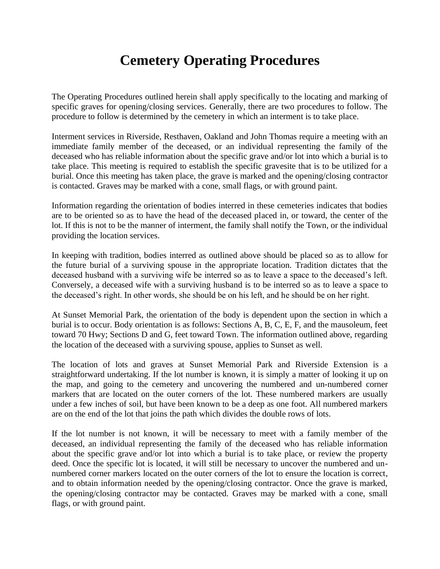### **Cemetery Operating Procedures**

The Operating Procedures outlined herein shall apply specifically to the locating and marking of specific graves for opening/closing services. Generally, there are two procedures to follow. The procedure to follow is determined by the cemetery in which an interment is to take place.

Interment services in Riverside, Resthaven, Oakland and John Thomas require a meeting with an immediate family member of the deceased, or an individual representing the family of the deceased who has reliable information about the specific grave and/or lot into which a burial is to take place. This meeting is required to establish the specific gravesite that is to be utilized for a burial. Once this meeting has taken place, the grave is marked and the opening/closing contractor is contacted. Graves may be marked with a cone, small flags, or with ground paint.

Information regarding the orientation of bodies interred in these cemeteries indicates that bodies are to be oriented so as to have the head of the deceased placed in, or toward, the center of the lot. If this is not to be the manner of interment, the family shall notify the Town, or the individual providing the location services.

In keeping with tradition, bodies interred as outlined above should be placed so as to allow for the future burial of a surviving spouse in the appropriate location. Tradition dictates that the deceased husband with a surviving wife be interred so as to leave a space to the deceased's left. Conversely, a deceased wife with a surviving husband is to be interred so as to leave a space to the deceased's right. In other words, she should be on his left, and he should be on her right.

At Sunset Memorial Park, the orientation of the body is dependent upon the section in which a burial is to occur. Body orientation is as follows: Sections A, B, C, E, F, and the mausoleum, feet toward 70 Hwy; Sections D and G, feet toward Town. The information outlined above, regarding the location of the deceased with a surviving spouse, applies to Sunset as well.

The location of lots and graves at Sunset Memorial Park and Riverside Extension is a straightforward undertaking. If the lot number is known, it is simply a matter of looking it up on the map, and going to the cemetery and uncovering the numbered and un-numbered corner markers that are located on the outer corners of the lot. These numbered markers are usually under a few inches of soil, but have been known to be a deep as one foot. All numbered markers are on the end of the lot that joins the path which divides the double rows of lots.

If the lot number is not known, it will be necessary to meet with a family member of the deceased, an individual representing the family of the deceased who has reliable information about the specific grave and/or lot into which a burial is to take place, or review the property deed. Once the specific lot is located, it will still be necessary to uncover the numbered and unnumbered corner markers located on the outer corners of the lot to ensure the location is correct, and to obtain information needed by the opening/closing contractor. Once the grave is marked, the opening/closing contractor may be contacted. Graves may be marked with a cone, small flags, or with ground paint.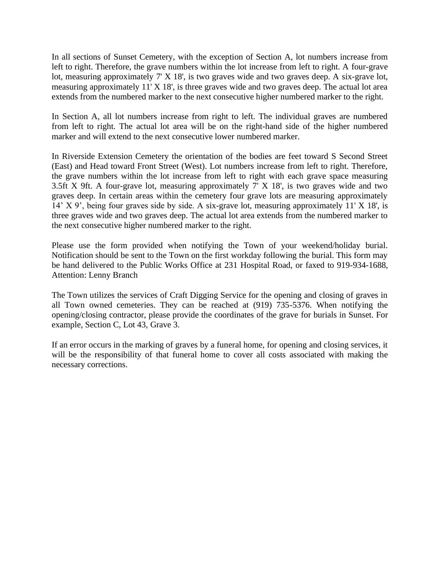In all sections of Sunset Cemetery, with the exception of Section A, lot numbers increase from left to right. Therefore, the grave numbers within the lot increase from left to right. A four-grave lot, measuring approximately 7' X 18', is two graves wide and two graves deep. A six-grave lot, measuring approximately 11' X 18', is three graves wide and two graves deep. The actual lot area extends from the numbered marker to the next consecutive higher numbered marker to the right.

In Section A, all lot numbers increase from right to left. The individual graves are numbered from left to right. The actual lot area will be on the right-hand side of the higher numbered marker and will extend to the next consecutive lower numbered marker.

In Riverside Extension Cemetery the orientation of the bodies are feet toward S Second Street (East) and Head toward Front Street (West). Lot numbers increase from left to right. Therefore, the grave numbers within the lot increase from left to right with each grave space measuring 3.5ft X 9ft. A four-grave lot, measuring approximately 7' X 18', is two graves wide and two graves deep. In certain areas within the cemetery four grave lots are measuring approximately 14' X 9', being four graves side by side. A six-grave lot, measuring approximately 11' X 18', is three graves wide and two graves deep. The actual lot area extends from the numbered marker to the next consecutive higher numbered marker to the right.

Please use the form provided when notifying the Town of your weekend/holiday burial. Notification should be sent to the Town on the first workday following the burial. This form may be hand delivered to the Public Works Office at 231 Hospital Road, or faxed to 919-934-1688, Attention: Lenny Branch

The Town utilizes the services of Craft Digging Service for the opening and closing of graves in all Town owned cemeteries. They can be reached at (919) 735-5376. When notifying the opening/closing contractor, please provide the coordinates of the grave for burials in Sunset. For example, Section C, Lot 43, Grave 3.

If an error occurs in the marking of graves by a funeral home, for opening and closing services, it will be the responsibility of that funeral home to cover all costs associated with making the necessary corrections.